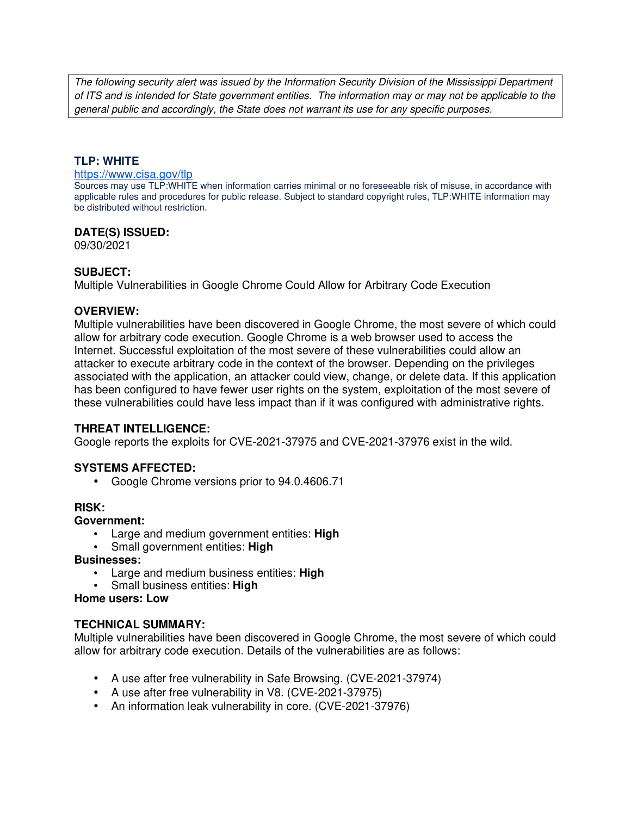The following security alert was issued by the Information Security Division of the Mississippi Department of ITS and is intended for State government entities. The information may or may not be applicable to the general public and accordingly, the State does not warrant its use for any specific purposes.

## **TLP: WHITE**

#### https://www.cisa.gov/tlp

Sources may use TLP:WHITE when information carries minimal or no foreseeable risk of misuse, in accordance with applicable rules and procedures for public release. Subject to standard copyright rules, TLP:WHITE information may be distributed without restriction.

### **DATE(S) ISSUED:**

09/30/2021

### **SUBJECT:**

Multiple Vulnerabilities in Google Chrome Could Allow for Arbitrary Code Execution

#### **OVERVIEW:**

Multiple vulnerabilities have been discovered in Google Chrome, the most severe of which could allow for arbitrary code execution. Google Chrome is a web browser used to access the Internet. Successful exploitation of the most severe of these vulnerabilities could allow an attacker to execute arbitrary code in the context of the browser. Depending on the privileges associated with the application, an attacker could view, change, or delete data. If this application has been configured to have fewer user rights on the system, exploitation of the most severe of these vulnerabilities could have less impact than if it was configured with administrative rights.

## **THREAT INTELLIGENCE:**

Google reports the exploits for CVE-2021-37975 and CVE-2021-37976 exist in the wild.

## **SYSTEMS AFFECTED:**

• Google Chrome versions prior to 94.0.4606.71

#### **RISK:**

#### **Government:**

- Large and medium government entities: **High**
- Small government entities: **High**

#### **Businesses:**

- Large and medium business entities: **High**
- Small business entities: **High**

#### **Home users: Low**

## **TECHNICAL SUMMARY:**

Multiple vulnerabilities have been discovered in Google Chrome, the most severe of which could allow for arbitrary code execution. Details of the vulnerabilities are as follows:

- A use after free vulnerability in Safe Browsing. (CVE-2021-37974)
- A use after free vulnerability in V8. (CVE-2021-37975)
- An information leak vulnerability in core. (CVE-2021-37976)